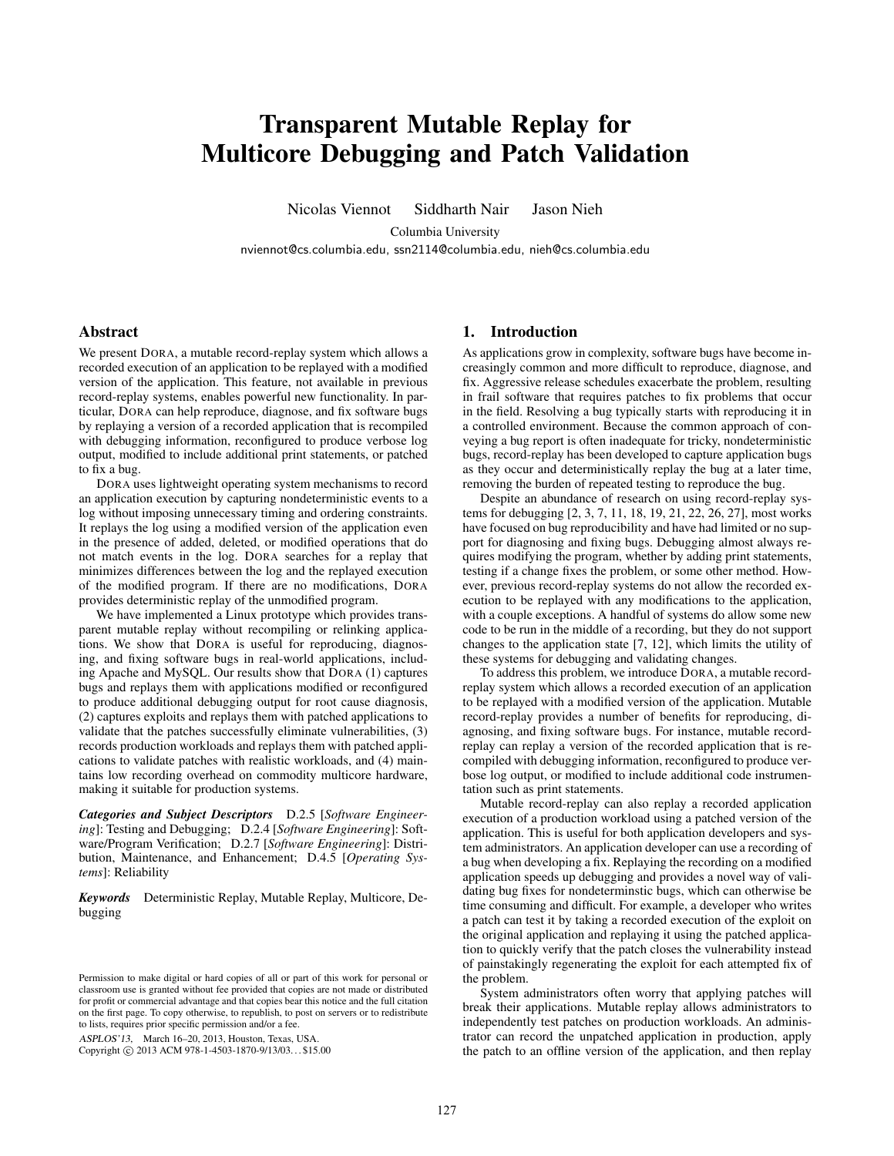# Transparent Mutable Replay for Multicore Debugging and Patch Validation

Nicolas Viennot Siddharth Nair Jason Nieh

Columbia University

nviennot@cs.columbia.edu, ssn2114@columbia.edu, nieh@cs.columbia.edu

## Abstract

We present DORA, a mutable record-replay system which allows a recorded execution of an application to be replayed with a modified version of the application. This feature, not available in previous record-replay systems, enables powerful new functionality. In particular, DORA can help reproduce, diagnose, and fix software bugs by replaying a version of a recorded application that is recompiled with debugging information, reconfigured to produce verbose log output, modified to include additional print statements, or patched to fix a bug.

DORA uses lightweight operating system mechanisms to record an application execution by capturing nondeterministic events to a log without imposing unnecessary timing and ordering constraints. It replays the log using a modified version of the application even in the presence of added, deleted, or modified operations that do not match events in the log. DORA searches for a replay that minimizes differences between the log and the replayed execution of the modified program. If there are no modifications, DORA provides deterministic replay of the unmodified program.

We have implemented a Linux prototype which provides transparent mutable replay without recompiling or relinking applications. We show that DORA is useful for reproducing, diagnosing, and fixing software bugs in real-world applications, including Apache and MySQL. Our results show that DORA (1) captures bugs and replays them with applications modified or reconfigured to produce additional debugging output for root cause diagnosis, (2) captures exploits and replays them with patched applications to validate that the patches successfully eliminate vulnerabilities, (3) records production workloads and replays them with patched applications to validate patches with realistic workloads, and (4) maintains low recording overhead on commodity multicore hardware, making it suitable for production systems.

*Categories and Subject Descriptors* D.2.5 [*Software Engineering*]: Testing and Debugging; D.2.4 [*Software Engineering*]: Software/Program Verification; D.2.7 [*Software Engineering*]: Distribution, Maintenance, and Enhancement; D.4.5 [*Operating Systems*]: Reliability

*Keywords* Deterministic Replay, Mutable Replay, Multicore, Debugging

ASPLOS'13, March 16–20, 2013, Houston, Texas, USA.

Copyright © 2013 ACM 978-1-4503-1870-9/13/03... \$15.00

## 1. Introduction

As applications grow in complexity, software bugs have become increasingly common and more difficult to reproduce, diagnose, and fix. Aggressive release schedules exacerbate the problem, resulting in frail software that requires patches to fix problems that occur in the field. Resolving a bug typically starts with reproducing it in a controlled environment. Because the common approach of conveying a bug report is often inadequate for tricky, nondeterministic bugs, record-replay has been developed to capture application bugs as they occur and deterministically replay the bug at a later time, removing the burden of repeated testing to reproduce the bug.

Despite an abundance of research on using record-replay systems for debugging [2, 3, 7, 11, 18, 19, 21, 22, 26, 27], most works have focused on bug reproducibility and have had limited or no support for diagnosing and fixing bugs. Debugging almost always requires modifying the program, whether by adding print statements, testing if a change fixes the problem, or some other method. However, previous record-replay systems do not allow the recorded execution to be replayed with any modifications to the application, with a couple exceptions. A handful of systems do allow some new code to be run in the middle of a recording, but they do not support changes to the application state [7, 12], which limits the utility of these systems for debugging and validating changes.

To address this problem, we introduce DORA, a mutable recordreplay system which allows a recorded execution of an application to be replayed with a modified version of the application. Mutable record-replay provides a number of benefits for reproducing, diagnosing, and fixing software bugs. For instance, mutable recordreplay can replay a version of the recorded application that is recompiled with debugging information, reconfigured to produce verbose log output, or modified to include additional code instrumentation such as print statements.

Mutable record-replay can also replay a recorded application execution of a production workload using a patched version of the application. This is useful for both application developers and system administrators. An application developer can use a recording of a bug when developing a fix. Replaying the recording on a modified application speeds up debugging and provides a novel way of validating bug fixes for nondeterminstic bugs, which can otherwise be time consuming and difficult. For example, a developer who writes a patch can test it by taking a recorded execution of the exploit on the original application and replaying it using the patched application to quickly verify that the patch closes the vulnerability instead of painstakingly regenerating the exploit for each attempted fix of the problem.

System administrators often worry that applying patches will break their applications. Mutable replay allows administrators to independently test patches on production workloads. An administrator can record the unpatched application in production, apply the patch to an offline version of the application, and then replay

Permission to make digital or hard copies of all or part of this work for personal or classroom use is granted without fee provided that copies are not made or distributed for profit or commercial advantage and that copies bear this notice and the full citation on the first page. To copy otherwise, to republish, to post on servers or to redistribute to lists, requires prior specific permission and/or a fee.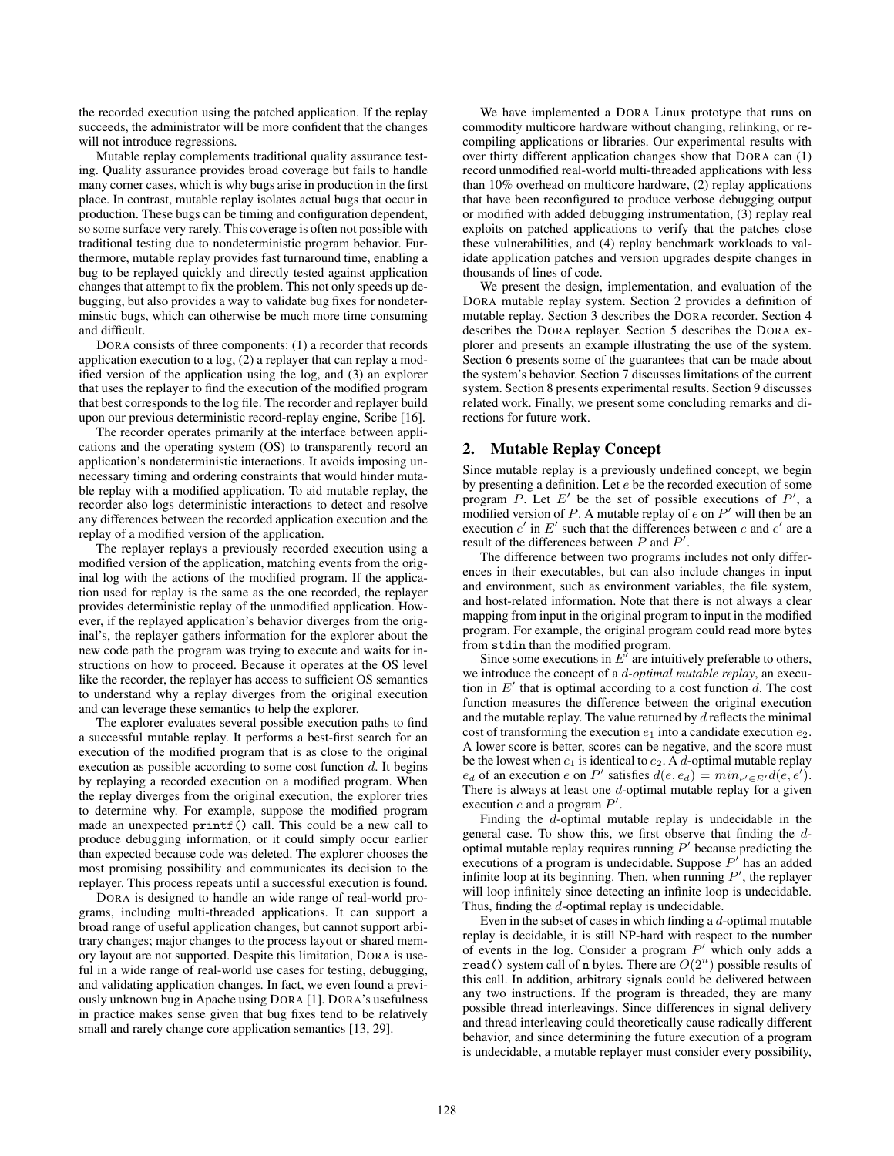the recorded execution using the patched application. If the replay succeeds, the administrator will be more confident that the changes will not introduce regressions.

Mutable replay complements traditional quality assurance testing. Quality assurance provides broad coverage but fails to handle many corner cases, which is why bugs arise in production in the first place. In contrast, mutable replay isolates actual bugs that occur in production. These bugs can be timing and configuration dependent, so some surface very rarely. This coverage is often not possible with traditional testing due to nondeterministic program behavior. Furthermore, mutable replay provides fast turnaround time, enabling a bug to be replayed quickly and directly tested against application changes that attempt to fix the problem. This not only speeds up debugging, but also provides a way to validate bug fixes for nondeterminstic bugs, which can otherwise be much more time consuming and difficult.

DORA consists of three components: (1) a recorder that records application execution to a log, (2) a replayer that can replay a modified version of the application using the log, and (3) an explorer that uses the replayer to find the execution of the modified program that best corresponds to the log file. The recorder and replayer build upon our previous deterministic record-replay engine, Scribe [16].

The recorder operates primarily at the interface between applications and the operating system (OS) to transparently record an application's nondeterministic interactions. It avoids imposing unnecessary timing and ordering constraints that would hinder mutable replay with a modified application. To aid mutable replay, the recorder also logs deterministic interactions to detect and resolve any differences between the recorded application execution and the replay of a modified version of the application.

The replayer replays a previously recorded execution using a modified version of the application, matching events from the original log with the actions of the modified program. If the application used for replay is the same as the one recorded, the replayer provides deterministic replay of the unmodified application. However, if the replayed application's behavior diverges from the original's, the replayer gathers information for the explorer about the new code path the program was trying to execute and waits for instructions on how to proceed. Because it operates at the OS level like the recorder, the replayer has access to sufficient OS semantics to understand why a replay diverges from the original execution and can leverage these semantics to help the explorer.

The explorer evaluates several possible execution paths to find a successful mutable replay. It performs a best-first search for an execution of the modified program that is as close to the original execution as possible according to some cost function  $d$ . It begins by replaying a recorded execution on a modified program. When the replay diverges from the original execution, the explorer tries to determine why. For example, suppose the modified program made an unexpected printf() call. This could be a new call to produce debugging information, or it could simply occur earlier than expected because code was deleted. The explorer chooses the most promising possibility and communicates its decision to the replayer. This process repeats until a successful execution is found.

DORA is designed to handle an wide range of real-world programs, including multi-threaded applications. It can support a broad range of useful application changes, but cannot support arbitrary changes; major changes to the process layout or shared memory layout are not supported. Despite this limitation, DORA is useful in a wide range of real-world use cases for testing, debugging, and validating application changes. In fact, we even found a previously unknown bug in Apache using DORA [1]. DORA's usefulness in practice makes sense given that bug fixes tend to be relatively small and rarely change core application semantics [13, 29].

We have implemented a DORA Linux prototype that runs on commodity multicore hardware without changing, relinking, or recompiling applications or libraries. Our experimental results with over thirty different application changes show that DORA can (1) record unmodified real-world multi-threaded applications with less than 10% overhead on multicore hardware, (2) replay applications that have been reconfigured to produce verbose debugging output or modified with added debugging instrumentation, (3) replay real exploits on patched applications to verify that the patches close these vulnerabilities, and (4) replay benchmark workloads to validate application patches and version upgrades despite changes in thousands of lines of code.

We present the design, implementation, and evaluation of the DORA mutable replay system. Section 2 provides a definition of mutable replay. Section 3 describes the DORA recorder. Section 4 describes the DORA replayer. Section 5 describes the DORA explorer and presents an example illustrating the use of the system. Section 6 presents some of the guarantees that can be made about the system's behavior. Section 7 discusses limitations of the current system. Section 8 presents experimental results. Section 9 discusses related work. Finally, we present some concluding remarks and directions for future work.

## 2. Mutable Replay Concept

Since mutable replay is a previously undefined concept, we begin by presenting a definition. Let  $e$  be the recorded execution of some program  $P$ . Let  $E'$  be the set of possible executions of  $P'$ , a modified version of P. A mutable replay of  $e$  on  $P'$  will then be an execution  $e'$  in  $E'$  such that the differences between e and  $e'$  are a result of the differences between  $P$  and  $P'$ .

The difference between two programs includes not only differences in their executables, but can also include changes in input and environment, such as environment variables, the file system, and host-related information. Note that there is not always a clear mapping from input in the original program to input in the modified program. For example, the original program could read more bytes from stdin than the modified program.

Since some executions in  $E^{\prime}$  are intuitively preferable to others, we introduce the concept of a d*-optimal mutable replay*, an execution in  $E'$  that is optimal according to a cost function  $d$ . The cost function measures the difference between the original execution and the mutable replay. The value returned by  $d$  reflects the minimal cost of transforming the execution  $e_1$  into a candidate execution  $e_2$ . A lower score is better, scores can be negative, and the score must be the lowest when  $e_1$  is identical to  $e_2$ . A d-optimal mutable replay  $e_d$  of an execution e on P' satisfies  $d(e, e_d) = min_{e' \in E'} d(e, e').$ There is always at least one d-optimal mutable replay for a given execution  $e$  and a program  $P'$ .

Finding the d-optimal mutable replay is undecidable in the general case. To show this, we first observe that finding the doptimal mutable replay requires running  $P'$  because predicting the executions of a program is undecidable. Suppose  $P'$  has an added infinite loop at its beginning. Then, when running  $P'$ , the replayer will loop infinitely since detecting an infinite loop is undecidable. Thus, finding the d-optimal replay is undecidable.

Even in the subset of cases in which finding a d-optimal mutable replay is decidable, it is still NP-hard with respect to the number of events in the log. Consider a program  $P'$  which only adds a read() system call of n bytes. There are  $O(2^n)$  possible results of this call. In addition, arbitrary signals could be delivered between any two instructions. If the program is threaded, they are many possible thread interleavings. Since differences in signal delivery and thread interleaving could theoretically cause radically different behavior, and since determining the future execution of a program is undecidable, a mutable replayer must consider every possibility,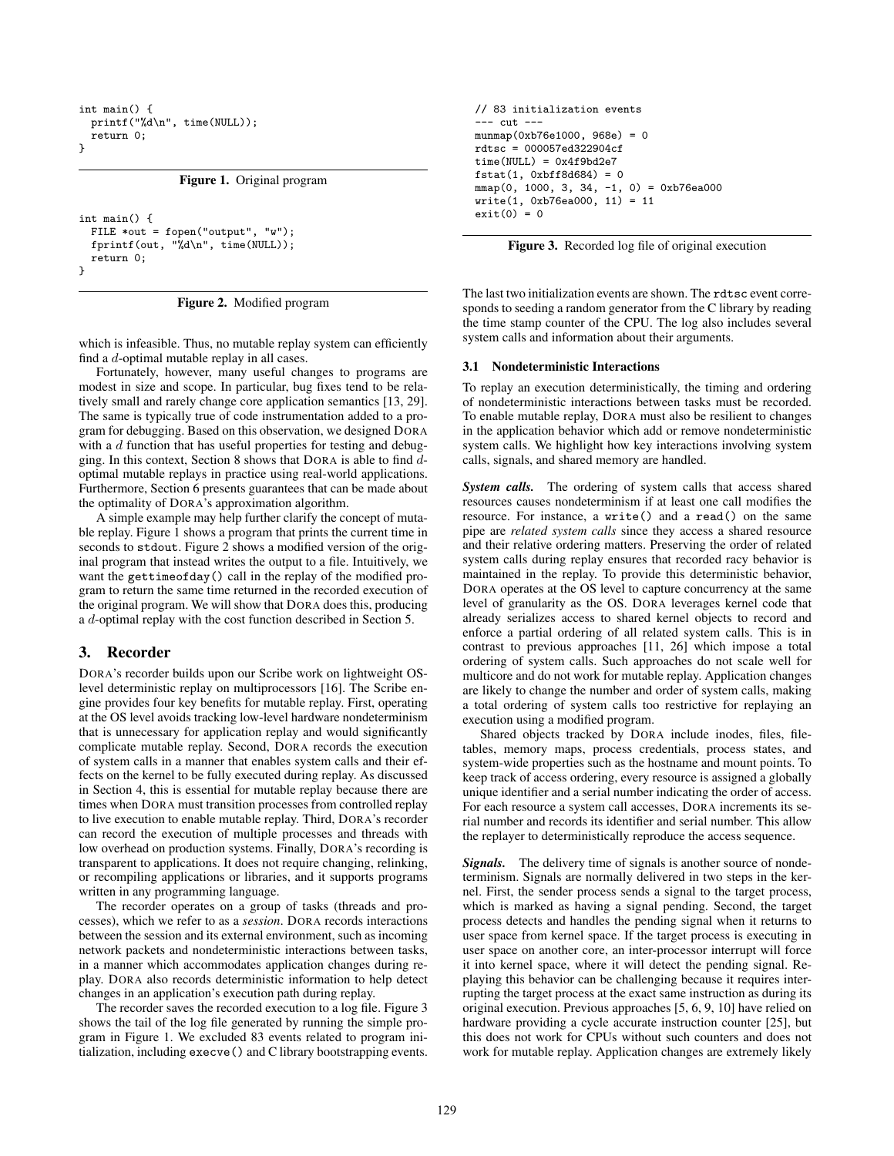```
int main() {
 printf("%d\n", time(NULL));
 return 0;
}
```
Figure 1. Original program

```
int main() {
  FILE *out = fopen("output", "w");
 fprintf(out, "%d\n", time(NULL));
 return 0;
}
```
Figure 2. Modified program

which is infeasible. Thus, no mutable replay system can efficiently find a d-optimal mutable replay in all cases.

Fortunately, however, many useful changes to programs are modest in size and scope. In particular, bug fixes tend to be relatively small and rarely change core application semantics [13, 29]. The same is typically true of code instrumentation added to a program for debugging. Based on this observation, we designed DORA with a  $d$  function that has useful properties for testing and debugging. In this context, Section 8 shows that DORA is able to find doptimal mutable replays in practice using real-world applications. Furthermore, Section 6 presents guarantees that can be made about the optimality of DORA's approximation algorithm.

A simple example may help further clarify the concept of mutable replay. Figure 1 shows a program that prints the current time in seconds to stdout. Figure 2 shows a modified version of the original program that instead writes the output to a file. Intuitively, we want the gettimeofday() call in the replay of the modified program to return the same time returned in the recorded execution of the original program. We will show that DORA does this, producing a d-optimal replay with the cost function described in Section 5.

# 3. Recorder

DORA's recorder builds upon our Scribe work on lightweight OSlevel deterministic replay on multiprocessors [16]. The Scribe engine provides four key benefits for mutable replay. First, operating at the OS level avoids tracking low-level hardware nondeterminism that is unnecessary for application replay and would significantly complicate mutable replay. Second, DORA records the execution of system calls in a manner that enables system calls and their effects on the kernel to be fully executed during replay. As discussed in Section 4, this is essential for mutable replay because there are times when DORA must transition processes from controlled replay to live execution to enable mutable replay. Third, DORA's recorder can record the execution of multiple processes and threads with low overhead on production systems. Finally, DORA's recording is transparent to applications. It does not require changing, relinking, or recompiling applications or libraries, and it supports programs written in any programming language.

The recorder operates on a group of tasks (threads and processes), which we refer to as a *session*. DORA records interactions between the session and its external environment, such as incoming network packets and nondeterministic interactions between tasks, in a manner which accommodates application changes during replay. DORA also records deterministic information to help detect changes in an application's execution path during replay.

The recorder saves the recorded execution to a log file. Figure 3 shows the tail of the log file generated by running the simple program in Figure 1. We excluded 83 events related to program initialization, including execve() and C library bootstrapping events.

```
// 83 initialization events
  - cut -munmap(0xb76e1000, 968e) = 0rdtsc = 000057ed322904cf
time(NULL) = 0x4f9bd2e7fstat(1, 0xbff8d684) = 0
mmap(0, 1000, 3, 34, -1, 0) = 0xb76ea000
write(1, 0xb76ea000, 11) = 11
ext(0) = 0
```


The last two initialization events are shown. The rdtsc event corresponds to seeding a random generator from the C library by reading the time stamp counter of the CPU. The log also includes several system calls and information about their arguments.

#### 3.1 Nondeterministic Interactions

To replay an execution deterministically, the timing and ordering of nondeterministic interactions between tasks must be recorded. To enable mutable replay, DORA must also be resilient to changes in the application behavior which add or remove nondeterministic system calls. We highlight how key interactions involving system calls, signals, and shared memory are handled.

*System calls.* The ordering of system calls that access shared resources causes nondeterminism if at least one call modifies the resource. For instance, a write() and a read() on the same pipe are *related system calls* since they access a shared resource and their relative ordering matters. Preserving the order of related system calls during replay ensures that recorded racy behavior is maintained in the replay. To provide this deterministic behavior, DORA operates at the OS level to capture concurrency at the same level of granularity as the OS. DORA leverages kernel code that already serializes access to shared kernel objects to record and enforce a partial ordering of all related system calls. This is in contrast to previous approaches [11, 26] which impose a total ordering of system calls. Such approaches do not scale well for multicore and do not work for mutable replay. Application changes are likely to change the number and order of system calls, making a total ordering of system calls too restrictive for replaying an execution using a modified program.

Shared objects tracked by DORA include inodes, files, filetables, memory maps, process credentials, process states, and system-wide properties such as the hostname and mount points. To keep track of access ordering, every resource is assigned a globally unique identifier and a serial number indicating the order of access. For each resource a system call accesses, DORA increments its serial number and records its identifier and serial number. This allow the replayer to deterministically reproduce the access sequence.

*Signals.* The delivery time of signals is another source of nondeterminism. Signals are normally delivered in two steps in the kernel. First, the sender process sends a signal to the target process, which is marked as having a signal pending. Second, the target process detects and handles the pending signal when it returns to user space from kernel space. If the target process is executing in user space on another core, an inter-processor interrupt will force it into kernel space, where it will detect the pending signal. Replaying this behavior can be challenging because it requires interrupting the target process at the exact same instruction as during its original execution. Previous approaches [5, 6, 9, 10] have relied on hardware providing a cycle accurate instruction counter [25], but this does not work for CPUs without such counters and does not work for mutable replay. Application changes are extremely likely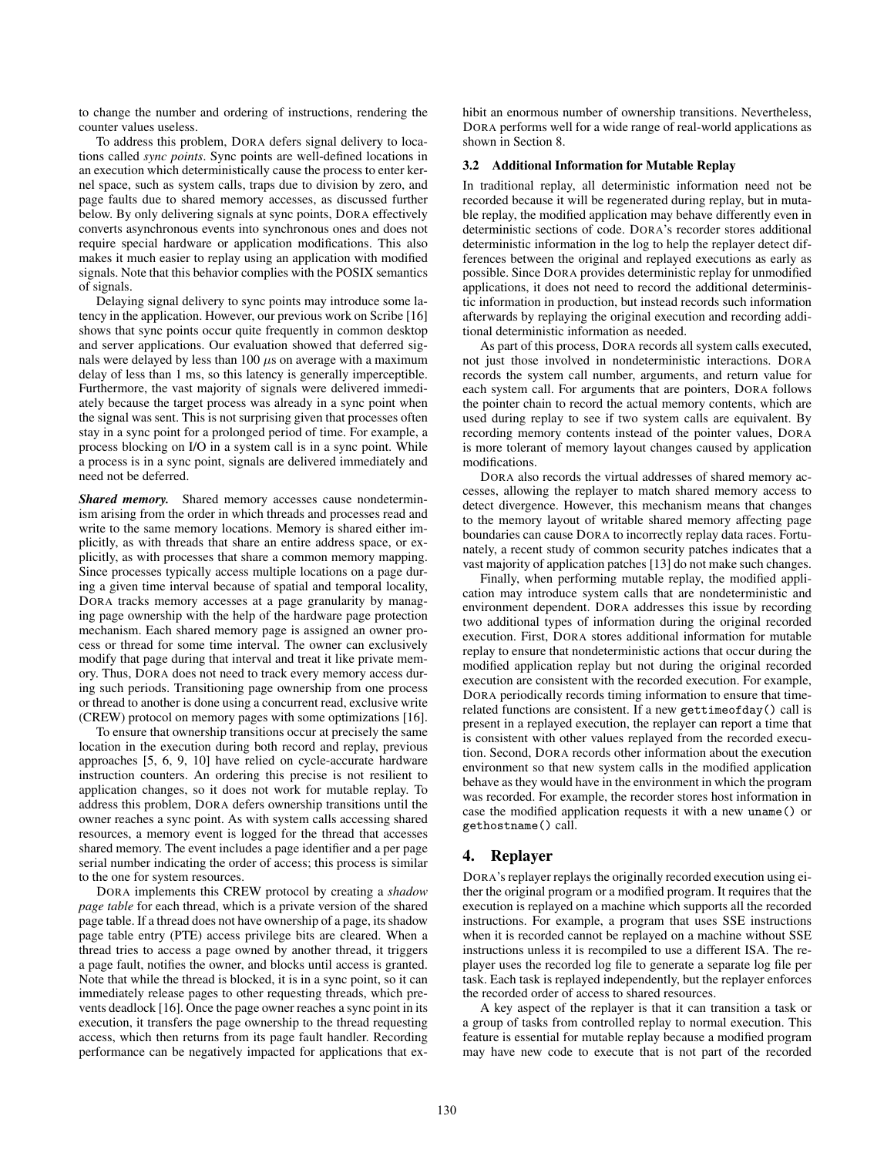to change the number and ordering of instructions, rendering the counter values useless.

To address this problem, DORA defers signal delivery to locations called *sync points*. Sync points are well-defined locations in an execution which deterministically cause the process to enter kernel space, such as system calls, traps due to division by zero, and page faults due to shared memory accesses, as discussed further below. By only delivering signals at sync points, DORA effectively converts asynchronous events into synchronous ones and does not require special hardware or application modifications. This also makes it much easier to replay using an application with modified signals. Note that this behavior complies with the POSIX semantics of signals.

Delaying signal delivery to sync points may introduce some latency in the application. However, our previous work on Scribe [16] shows that sync points occur quite frequently in common desktop and server applications. Our evaluation showed that deferred signals were delayed by less than 100  $\mu$ s on average with a maximum delay of less than 1 ms, so this latency is generally imperceptible. Furthermore, the vast majority of signals were delivered immediately because the target process was already in a sync point when the signal was sent. This is not surprising given that processes often stay in a sync point for a prolonged period of time. For example, a process blocking on I/O in a system call is in a sync point. While a process is in a sync point, signals are delivered immediately and need not be deferred.

*Shared memory.* Shared memory accesses cause nondeterminism arising from the order in which threads and processes read and write to the same memory locations. Memory is shared either implicitly, as with threads that share an entire address space, or explicitly, as with processes that share a common memory mapping. Since processes typically access multiple locations on a page during a given time interval because of spatial and temporal locality, DORA tracks memory accesses at a page granularity by managing page ownership with the help of the hardware page protection mechanism. Each shared memory page is assigned an owner process or thread for some time interval. The owner can exclusively modify that page during that interval and treat it like private memory. Thus, DORA does not need to track every memory access during such periods. Transitioning page ownership from one process or thread to another is done using a concurrent read, exclusive write (CREW) protocol on memory pages with some optimizations [16].

To ensure that ownership transitions occur at precisely the same location in the execution during both record and replay, previous approaches [5, 6, 9, 10] have relied on cycle-accurate hardware instruction counters. An ordering this precise is not resilient to application changes, so it does not work for mutable replay. To address this problem, DORA defers ownership transitions until the owner reaches a sync point. As with system calls accessing shared resources, a memory event is logged for the thread that accesses shared memory. The event includes a page identifier and a per page serial number indicating the order of access; this process is similar to the one for system resources.

DORA implements this CREW protocol by creating a *shadow page table* for each thread, which is a private version of the shared page table. If a thread does not have ownership of a page, its shadow page table entry (PTE) access privilege bits are cleared. When a thread tries to access a page owned by another thread, it triggers a page fault, notifies the owner, and blocks until access is granted. Note that while the thread is blocked, it is in a sync point, so it can immediately release pages to other requesting threads, which prevents deadlock [16]. Once the page owner reaches a sync point in its execution, it transfers the page ownership to the thread requesting access, which then returns from its page fault handler. Recording performance can be negatively impacted for applications that exhibit an enormous number of ownership transitions. Nevertheless, DORA performs well for a wide range of real-world applications as shown in Section 8.

#### 3.2 Additional Information for Mutable Replay

In traditional replay, all deterministic information need not be recorded because it will be regenerated during replay, but in mutable replay, the modified application may behave differently even in deterministic sections of code. DORA's recorder stores additional deterministic information in the log to help the replayer detect differences between the original and replayed executions as early as possible. Since DORA provides deterministic replay for unmodified applications, it does not need to record the additional deterministic information in production, but instead records such information afterwards by replaying the original execution and recording additional deterministic information as needed.

As part of this process, DORA records all system calls executed, not just those involved in nondeterministic interactions. DORA records the system call number, arguments, and return value for each system call. For arguments that are pointers, DORA follows the pointer chain to record the actual memory contents, which are used during replay to see if two system calls are equivalent. By recording memory contents instead of the pointer values, DORA is more tolerant of memory layout changes caused by application modifications.

DORA also records the virtual addresses of shared memory accesses, allowing the replayer to match shared memory access to detect divergence. However, this mechanism means that changes to the memory layout of writable shared memory affecting page boundaries can cause DORA to incorrectly replay data races. Fortunately, a recent study of common security patches indicates that a vast majority of application patches [13] do not make such changes.

Finally, when performing mutable replay, the modified application may introduce system calls that are nondeterministic and environment dependent. DORA addresses this issue by recording two additional types of information during the original recorded execution. First, DORA stores additional information for mutable replay to ensure that nondeterministic actions that occur during the modified application replay but not during the original recorded execution are consistent with the recorded execution. For example, DORA periodically records timing information to ensure that timerelated functions are consistent. If a new gettimeofday() call is present in a replayed execution, the replayer can report a time that is consistent with other values replayed from the recorded execution. Second, DORA records other information about the execution environment so that new system calls in the modified application behave as they would have in the environment in which the program was recorded. For example, the recorder stores host information in case the modified application requests it with a new uname() or gethostname() call.

## 4. Replayer

DORA's replayer replays the originally recorded execution using either the original program or a modified program. It requires that the execution is replayed on a machine which supports all the recorded instructions. For example, a program that uses SSE instructions when it is recorded cannot be replayed on a machine without SSE instructions unless it is recompiled to use a different ISA. The replayer uses the recorded log file to generate a separate log file per task. Each task is replayed independently, but the replayer enforces the recorded order of access to shared resources.

A key aspect of the replayer is that it can transition a task or a group of tasks from controlled replay to normal execution. This feature is essential for mutable replay because a modified program may have new code to execute that is not part of the recorded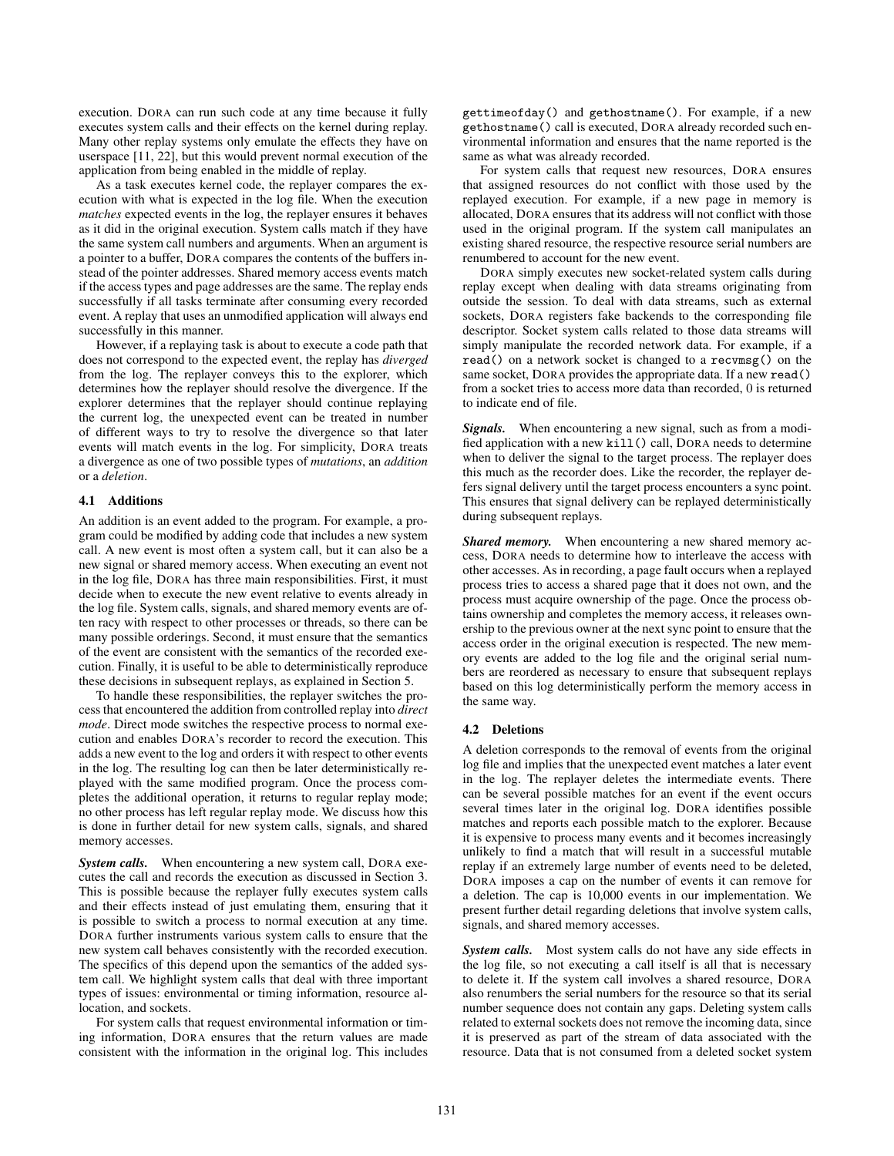execution. DORA can run such code at any time because it fully executes system calls and their effects on the kernel during replay. Many other replay systems only emulate the effects they have on userspace [11, 22], but this would prevent normal execution of the application from being enabled in the middle of replay.

As a task executes kernel code, the replayer compares the execution with what is expected in the log file. When the execution *matches* expected events in the log, the replayer ensures it behaves as it did in the original execution. System calls match if they have the same system call numbers and arguments. When an argument is a pointer to a buffer, DORA compares the contents of the buffers instead of the pointer addresses. Shared memory access events match if the access types and page addresses are the same. The replay ends successfully if all tasks terminate after consuming every recorded event. A replay that uses an unmodified application will always end successfully in this manner.

However, if a replaying task is about to execute a code path that does not correspond to the expected event, the replay has *diverged* from the log. The replayer conveys this to the explorer, which determines how the replayer should resolve the divergence. If the explorer determines that the replayer should continue replaying the current log, the unexpected event can be treated in number of different ways to try to resolve the divergence so that later events will match events in the log. For simplicity, DORA treats a divergence as one of two possible types of *mutations*, an *addition* or a *deletion*.

#### 4.1 Additions

An addition is an event added to the program. For example, a program could be modified by adding code that includes a new system call. A new event is most often a system call, but it can also be a new signal or shared memory access. When executing an event not in the log file, DORA has three main responsibilities. First, it must decide when to execute the new event relative to events already in the log file. System calls, signals, and shared memory events are often racy with respect to other processes or threads, so there can be many possible orderings. Second, it must ensure that the semantics of the event are consistent with the semantics of the recorded execution. Finally, it is useful to be able to deterministically reproduce these decisions in subsequent replays, as explained in Section 5.

To handle these responsibilities, the replayer switches the process that encountered the addition from controlled replay into *direct mode*. Direct mode switches the respective process to normal execution and enables DORA's recorder to record the execution. This adds a new event to the log and orders it with respect to other events in the log. The resulting log can then be later deterministically replayed with the same modified program. Once the process completes the additional operation, it returns to regular replay mode; no other process has left regular replay mode. We discuss how this is done in further detail for new system calls, signals, and shared memory accesses.

*System calls.* When encountering a new system call, DORA executes the call and records the execution as discussed in Section 3. This is possible because the replayer fully executes system calls and their effects instead of just emulating them, ensuring that it is possible to switch a process to normal execution at any time. DORA further instruments various system calls to ensure that the new system call behaves consistently with the recorded execution. The specifics of this depend upon the semantics of the added system call. We highlight system calls that deal with three important types of issues: environmental or timing information, resource allocation, and sockets.

For system calls that request environmental information or timing information, DORA ensures that the return values are made consistent with the information in the original log. This includes

gettimeofday() and gethostname(). For example, if a new gethostname() call is executed, DORA already recorded such environmental information and ensures that the name reported is the same as what was already recorded.

For system calls that request new resources, DORA ensures that assigned resources do not conflict with those used by the replayed execution. For example, if a new page in memory is allocated, DORA ensures that its address will not conflict with those used in the original program. If the system call manipulates an existing shared resource, the respective resource serial numbers are renumbered to account for the new event.

DORA simply executes new socket-related system calls during replay except when dealing with data streams originating from outside the session. To deal with data streams, such as external sockets, DORA registers fake backends to the corresponding file descriptor. Socket system calls related to those data streams will simply manipulate the recorded network data. For example, if a read() on a network socket is changed to a recvmsg() on the same socket, DORA provides the appropriate data. If a new read () from a socket tries to access more data than recorded, 0 is returned to indicate end of file.

*Signals.* When encountering a new signal, such as from a modified application with a new kill() call, DORA needs to determine when to deliver the signal to the target process. The replayer does this much as the recorder does. Like the recorder, the replayer defers signal delivery until the target process encounters a sync point. This ensures that signal delivery can be replayed deterministically during subsequent replays.

*Shared memory.* When encountering a new shared memory access, DORA needs to determine how to interleave the access with other accesses. As in recording, a page fault occurs when a replayed process tries to access a shared page that it does not own, and the process must acquire ownership of the page. Once the process obtains ownership and completes the memory access, it releases ownership to the previous owner at the next sync point to ensure that the access order in the original execution is respected. The new memory events are added to the log file and the original serial numbers are reordered as necessary to ensure that subsequent replays based on this log deterministically perform the memory access in the same way.

#### 4.2 Deletions

A deletion corresponds to the removal of events from the original log file and implies that the unexpected event matches a later event in the log. The replayer deletes the intermediate events. There can be several possible matches for an event if the event occurs several times later in the original log. DORA identifies possible matches and reports each possible match to the explorer. Because it is expensive to process many events and it becomes increasingly unlikely to find a match that will result in a successful mutable replay if an extremely large number of events need to be deleted, DORA imposes a cap on the number of events it can remove for a deletion. The cap is 10,000 events in our implementation. We present further detail regarding deletions that involve system calls, signals, and shared memory accesses.

*System calls.* Most system calls do not have any side effects in the log file, so not executing a call itself is all that is necessary to delete it. If the system call involves a shared resource, DORA also renumbers the serial numbers for the resource so that its serial number sequence does not contain any gaps. Deleting system calls related to external sockets does not remove the incoming data, since it is preserved as part of the stream of data associated with the resource. Data that is not consumed from a deleted socket system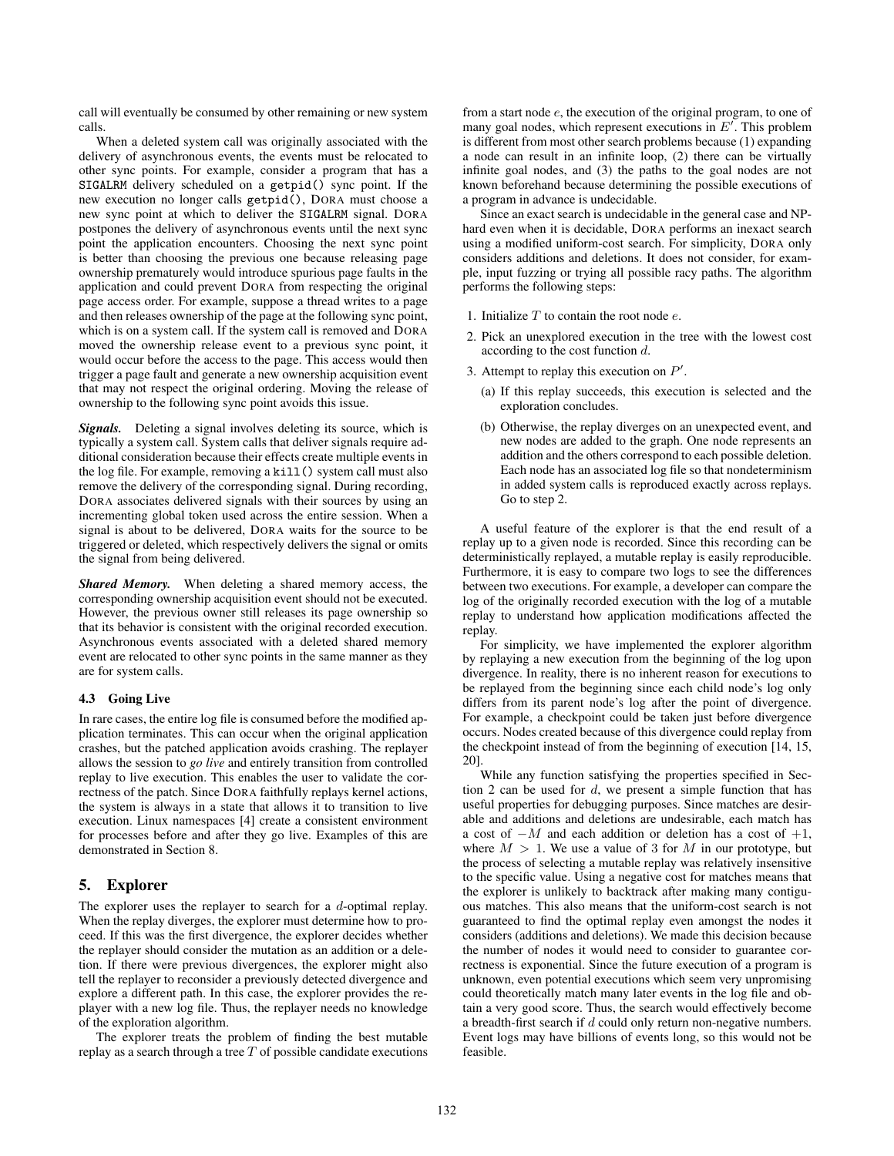call will eventually be consumed by other remaining or new system calls.

When a deleted system call was originally associated with the delivery of asynchronous events, the events must be relocated to other sync points. For example, consider a program that has a SIGALRM delivery scheduled on a getpid() sync point. If the new execution no longer calls getpid(), DORA must choose a new sync point at which to deliver the SIGALRM signal. DORA postpones the delivery of asynchronous events until the next sync point the application encounters. Choosing the next sync point is better than choosing the previous one because releasing page ownership prematurely would introduce spurious page faults in the application and could prevent DORA from respecting the original page access order. For example, suppose a thread writes to a page and then releases ownership of the page at the following sync point, which is on a system call. If the system call is removed and DORA moved the ownership release event to a previous sync point, it would occur before the access to the page. This access would then trigger a page fault and generate a new ownership acquisition event that may not respect the original ordering. Moving the release of ownership to the following sync point avoids this issue.

*Signals.* Deleting a signal involves deleting its source, which is typically a system call. System calls that deliver signals require additional consideration because their effects create multiple events in the log file. For example, removing a kill() system call must also remove the delivery of the corresponding signal. During recording, DORA associates delivered signals with their sources by using an incrementing global token used across the entire session. When a signal is about to be delivered, DORA waits for the source to be triggered or deleted, which respectively delivers the signal or omits the signal from being delivered.

*Shared Memory.* When deleting a shared memory access, the corresponding ownership acquisition event should not be executed. However, the previous owner still releases its page ownership so that its behavior is consistent with the original recorded execution. Asynchronous events associated with a deleted shared memory event are relocated to other sync points in the same manner as they are for system calls.

#### 4.3 Going Live

In rare cases, the entire log file is consumed before the modified application terminates. This can occur when the original application crashes, but the patched application avoids crashing. The replayer allows the session to *go live* and entirely transition from controlled replay to live execution. This enables the user to validate the correctness of the patch. Since DORA faithfully replays kernel actions, the system is always in a state that allows it to transition to live execution. Linux namespaces [4] create a consistent environment for processes before and after they go live. Examples of this are demonstrated in Section 8.

## 5. Explorer

The explorer uses the replayer to search for a d-optimal replay. When the replay diverges, the explorer must determine how to proceed. If this was the first divergence, the explorer decides whether the replayer should consider the mutation as an addition or a deletion. If there were previous divergences, the explorer might also tell the replayer to reconsider a previously detected divergence and explore a different path. In this case, the explorer provides the replayer with a new log file. Thus, the replayer needs no knowledge of the exploration algorithm.

The explorer treats the problem of finding the best mutable replay as a search through a tree  $T$  of possible candidate executions from a start node e, the execution of the original program, to one of many goal nodes, which represent executions in  $E'$ . This problem is different from most other search problems because (1) expanding a node can result in an infinite loop, (2) there can be virtually infinite goal nodes, and (3) the paths to the goal nodes are not known beforehand because determining the possible executions of a program in advance is undecidable.

Since an exact search is undecidable in the general case and NPhard even when it is decidable, DORA performs an inexact search using a modified uniform-cost search. For simplicity, DORA only considers additions and deletions. It does not consider, for example, input fuzzing or trying all possible racy paths. The algorithm performs the following steps:

- 1. Initialize  $T$  to contain the root node  $e$ .
- 2. Pick an unexplored execution in the tree with the lowest cost according to the cost function d.
- 3. Attempt to replay this execution on  $P'$ .
	- (a) If this replay succeeds, this execution is selected and the exploration concludes.
	- (b) Otherwise, the replay diverges on an unexpected event, and new nodes are added to the graph. One node represents an addition and the others correspond to each possible deletion. Each node has an associated log file so that nondeterminism in added system calls is reproduced exactly across replays. Go to step 2.

A useful feature of the explorer is that the end result of a replay up to a given node is recorded. Since this recording can be deterministically replayed, a mutable replay is easily reproducible. Furthermore, it is easy to compare two logs to see the differences between two executions. For example, a developer can compare the log of the originally recorded execution with the log of a mutable replay to understand how application modifications affected the replay.

For simplicity, we have implemented the explorer algorithm by replaying a new execution from the beginning of the log upon divergence. In reality, there is no inherent reason for executions to be replayed from the beginning since each child node's log only differs from its parent node's log after the point of divergence. For example, a checkpoint could be taken just before divergence occurs. Nodes created because of this divergence could replay from the checkpoint instead of from the beginning of execution [14, 15, 20].

While any function satisfying the properties specified in Section 2 can be used for  $d$ , we present a simple function that has useful properties for debugging purposes. Since matches are desirable and additions and deletions are undesirable, each match has a cost of  $-M$  and each addition or deletion has a cost of  $+1$ , where  $M > 1$ . We use a value of 3 for M in our prototype, but the process of selecting a mutable replay was relatively insensitive to the specific value. Using a negative cost for matches means that the explorer is unlikely to backtrack after making many contiguous matches. This also means that the uniform-cost search is not guaranteed to find the optimal replay even amongst the nodes it considers (additions and deletions). We made this decision because the number of nodes it would need to consider to guarantee correctness is exponential. Since the future execution of a program is unknown, even potential executions which seem very unpromising could theoretically match many later events in the log file and obtain a very good score. Thus, the search would effectively become a breadth-first search if  $d$  could only return non-negative numbers. Event logs may have billions of events long, so this would not be feasible.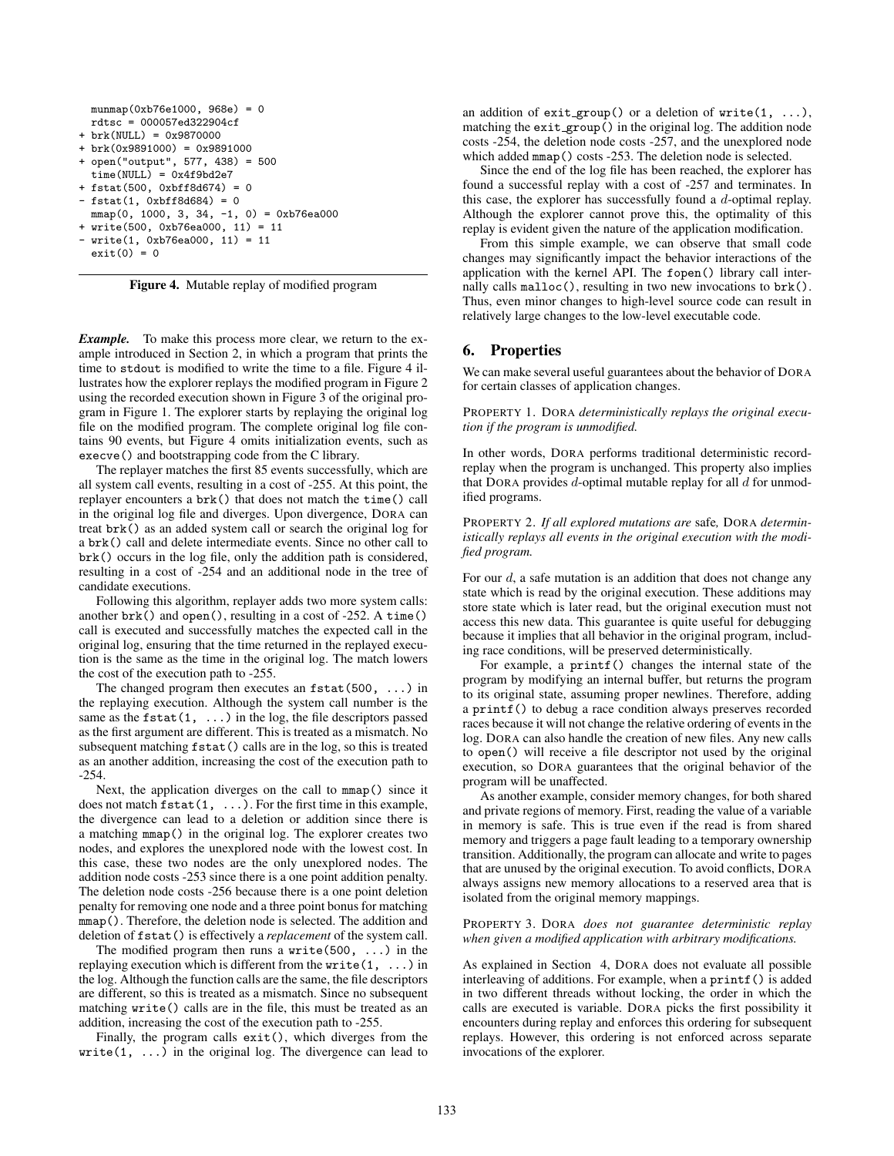```
munmap(0xb76e1000, 968e) = 0rdtsc = 000057ed322904cf
+ brk(NULL) = 0x9870000
+ brk(0x9891000) = 0x9891000
+ open("output", 577, 438) = 500
 time(NULL) = 0x4f9bd2e7+ fstat(500, 0xbff8d674) = 0
- fstat(1, 0xbff8d684) = 0
 mmap(0, 1000, 3, 34, -1, 0) = 0xb76ea000
+ write(500, 0xb76ea000, 11) = 11
- write(1, 0xb76ea000, 11) = 11
  exit(0) = 0
```
Figure 4. Mutable replay of modified program

*Example.* To make this process more clear, we return to the example introduced in Section 2, in which a program that prints the time to stdout is modified to write the time to a file. Figure 4 illustrates how the explorer replays the modified program in Figure 2 using the recorded execution shown in Figure 3 of the original program in Figure 1. The explorer starts by replaying the original log file on the modified program. The complete original log file contains 90 events, but Figure 4 omits initialization events, such as execve() and bootstrapping code from the C library.

The replayer matches the first 85 events successfully, which are all system call events, resulting in a cost of -255. At this point, the replayer encounters a brk() that does not match the time() call in the original log file and diverges. Upon divergence, DORA can treat brk() as an added system call or search the original log for a brk() call and delete intermediate events. Since no other call to brk() occurs in the log file, only the addition path is considered, resulting in a cost of -254 and an additional node in the tree of candidate executions.

Following this algorithm, replayer adds two more system calls: another brk() and open(), resulting in a cost of -252. A time() call is executed and successfully matches the expected call in the original log, ensuring that the time returned in the replayed execution is the same as the time in the original log. The match lowers the cost of the execution path to -255.

The changed program then executes an fstat(500, ...) in the replaying execution. Although the system call number is the same as the  $fstat(1, ...)$  in the log, the file descriptors passed as the first argument are different. This is treated as a mismatch. No subsequent matching fstat() calls are in the log, so this is treated as an another addition, increasing the cost of the execution path to -254.

Next, the application diverges on the call to mmap() since it does not match  $f$ stat $(1, \ldots)$ . For the first time in this example, the divergence can lead to a deletion or addition since there is a matching mmap() in the original log. The explorer creates two nodes, and explores the unexplored node with the lowest cost. In this case, these two nodes are the only unexplored nodes. The addition node costs -253 since there is a one point addition penalty. The deletion node costs -256 because there is a one point deletion penalty for removing one node and a three point bonus for matching mmap(). Therefore, the deletion node is selected. The addition and deletion of fstat() is effectively a *replacement* of the system call.

The modified program then runs a  $write(500, ...)$  in the replaying execution which is different from the write(1, ...) in the log. Although the function calls are the same, the file descriptors are different, so this is treated as a mismatch. Since no subsequent matching write() calls are in the file, this must be treated as an addition, increasing the cost of the execution path to -255.

Finally, the program calls exit(), which diverges from the  $write(1, ...)$  in the original log. The divergence can lead to an addition of exit group() or a deletion of write(1, ...), matching the exit\_group() in the original log. The addition node costs -254, the deletion node costs -257, and the unexplored node which added mmap() costs -253. The deletion node is selected.

Since the end of the log file has been reached, the explorer has found a successful replay with a cost of -257 and terminates. In this case, the explorer has successfully found a d-optimal replay. Although the explorer cannot prove this, the optimality of this replay is evident given the nature of the application modification.

From this simple example, we can observe that small code changes may significantly impact the behavior interactions of the application with the kernel API. The fopen() library call internally calls malloc(), resulting in two new invocations to brk(). Thus, even minor changes to high-level source code can result in relatively large changes to the low-level executable code.

## 6. Properties

We can make several useful guarantees about the behavior of DORA for certain classes of application changes.

PROPERTY 1. DORA *deterministically replays the original execution if the program is unmodified.*

In other words, DORA performs traditional deterministic recordreplay when the program is unchanged. This property also implies that DORA provides  $d$ -optimal mutable replay for all  $d$  for unmodified programs.

PROPERTY 2. *If all explored mutations are* safe*,* DORA *deterministically replays all events in the original execution with the modified program.*

For our  $d$ , a safe mutation is an addition that does not change any state which is read by the original execution. These additions may store state which is later read, but the original execution must not access this new data. This guarantee is quite useful for debugging because it implies that all behavior in the original program, including race conditions, will be preserved deterministically.

For example, a printf() changes the internal state of the program by modifying an internal buffer, but returns the program to its original state, assuming proper newlines. Therefore, adding a printf() to debug a race condition always preserves recorded races because it will not change the relative ordering of events in the log. DORA can also handle the creation of new files. Any new calls to open() will receive a file descriptor not used by the original execution, so DORA guarantees that the original behavior of the program will be unaffected.

As another example, consider memory changes, for both shared and private regions of memory. First, reading the value of a variable in memory is safe. This is true even if the read is from shared memory and triggers a page fault leading to a temporary ownership transition. Additionally, the program can allocate and write to pages that are unused by the original execution. To avoid conflicts, DORA always assigns new memory allocations to a reserved area that is isolated from the original memory mappings.

#### PROPERTY 3. DORA *does not guarantee deterministic replay when given a modified application with arbitrary modifications.*

As explained in Section 4, DORA does not evaluate all possible interleaving of additions. For example, when a printf() is added in two different threads without locking, the order in which the calls are executed is variable. DORA picks the first possibility it encounters during replay and enforces this ordering for subsequent replays. However, this ordering is not enforced across separate invocations of the explorer.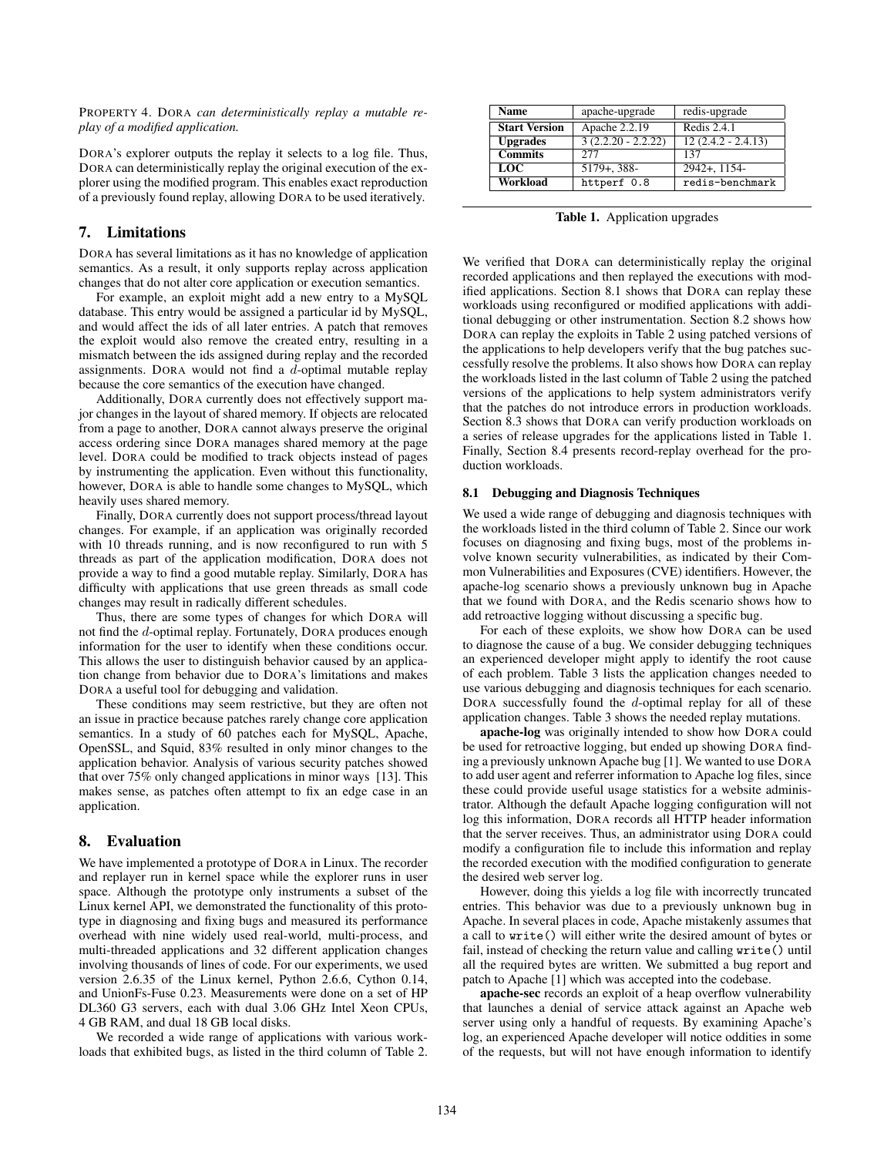PROPERTY 4. DORA *can deterministically replay a mutable replay of a modified application.*

DORA's explorer outputs the replay it selects to a log file. Thus, DORA can deterministically replay the original execution of the explorer using the modified program. This enables exact reproduction of a previously found replay, allowing DORA to be used iteratively.

# 7. Limitations

DORA has several limitations as it has no knowledge of application semantics. As a result, it only supports replay across application changes that do not alter core application or execution semantics.

For example, an exploit might add a new entry to a MySQL database. This entry would be assigned a particular id by MySQL, and would affect the ids of all later entries. A patch that removes the exploit would also remove the created entry, resulting in a mismatch between the ids assigned during replay and the recorded assignments. DORA would not find a d-optimal mutable replay because the core semantics of the execution have changed.

Additionally, DORA currently does not effectively support major changes in the layout of shared memory. If objects are relocated from a page to another, DORA cannot always preserve the original access ordering since DORA manages shared memory at the page level. DORA could be modified to track objects instead of pages by instrumenting the application. Even without this functionality, however, DORA is able to handle some changes to MySQL, which heavily uses shared memory.

Finally, DORA currently does not support process/thread layout changes. For example, if an application was originally recorded with 10 threads running, and is now reconfigured to run with 5 threads as part of the application modification, DORA does not provide a way to find a good mutable replay. Similarly, DORA has difficulty with applications that use green threads as small code changes may result in radically different schedules.

Thus, there are some types of changes for which DORA will not find the d-optimal replay. Fortunately, DORA produces enough information for the user to identify when these conditions occur. This allows the user to distinguish behavior caused by an application change from behavior due to DORA's limitations and makes DORA a useful tool for debugging and validation.

These conditions may seem restrictive, but they are often not an issue in practice because patches rarely change core application semantics. In a study of 60 patches each for MySQL, Apache, OpenSSL, and Squid, 83% resulted in only minor changes to the application behavior. Analysis of various security patches showed that over 75% only changed applications in minor ways [13]. This makes sense, as patches often attempt to fix an edge case in an application.

# 8. Evaluation

We have implemented a prototype of DORA in Linux. The recorder and replayer run in kernel space while the explorer runs in user space. Although the prototype only instruments a subset of the Linux kernel API, we demonstrated the functionality of this prototype in diagnosing and fixing bugs and measured its performance overhead with nine widely used real-world, multi-process, and multi-threaded applications and 32 different application changes involving thousands of lines of code. For our experiments, we used version 2.6.35 of the Linux kernel, Python 2.6.6, Cython 0.14, and UnionFs-Fuse 0.23. Measurements were done on a set of HP DL360 G3 servers, each with dual 3.06 GHz Intel Xeon CPUs, 4 GB RAM, and dual 18 GB local disks.

We recorded a wide range of applications with various workloads that exhibited bugs, as listed in the third column of Table 2.

| <b>Name</b>          | apache-upgrade       | redis-upgrade                      |
|----------------------|----------------------|------------------------------------|
| <b>Start Version</b> | Apache 2.2.19        | Redis 2.4.1                        |
| <b>Upgrades</b>      | $3(2.2.20 - 2.2.22)$ | $\overline{12}$ $(2.4.2 - 2.4.13)$ |
| <b>Commits</b>       | 277                  | 137                                |
| LOC                  | $5179 + 388$         | $2942 + 1154$                      |
| <b>Workload</b>      | httperf $0.8$        | redis-benchmark                    |

Table 1. Application upgrades

We verified that DORA can deterministically replay the original recorded applications and then replayed the executions with modified applications. Section 8.1 shows that DORA can replay these workloads using reconfigured or modified applications with additional debugging or other instrumentation. Section 8.2 shows how DORA can replay the exploits in Table 2 using patched versions of the applications to help developers verify that the bug patches successfully resolve the problems. It also shows how DORA can replay the workloads listed in the last column of Table 2 using the patched versions of the applications to help system administrators verify that the patches do not introduce errors in production workloads. Section 8.3 shows that DORA can verify production workloads on a series of release upgrades for the applications listed in Table 1. Finally, Section 8.4 presents record-replay overhead for the production workloads.

#### 8.1 Debugging and Diagnosis Techniques

We used a wide range of debugging and diagnosis techniques with the workloads listed in the third column of Table 2. Since our work focuses on diagnosing and fixing bugs, most of the problems involve known security vulnerabilities, as indicated by their Common Vulnerabilities and Exposures (CVE) identifiers. However, the apache-log scenario shows a previously unknown bug in Apache that we found with DORA, and the Redis scenario shows how to add retroactive logging without discussing a specific bug.

For each of these exploits, we show how DORA can be used to diagnose the cause of a bug. We consider debugging techniques an experienced developer might apply to identify the root cause of each problem. Table 3 lists the application changes needed to use various debugging and diagnosis techniques for each scenario. DORA successfully found the d-optimal replay for all of these application changes. Table 3 shows the needed replay mutations.

apache-log was originally intended to show how DORA could be used for retroactive logging, but ended up showing DORA finding a previously unknown Apache bug [1]. We wanted to use DORA to add user agent and referrer information to Apache log files, since these could provide useful usage statistics for a website administrator. Although the default Apache logging configuration will not log this information, DORA records all HTTP header information that the server receives. Thus, an administrator using DORA could modify a configuration file to include this information and replay the recorded execution with the modified configuration to generate the desired web server log.

However, doing this yields a log file with incorrectly truncated entries. This behavior was due to a previously unknown bug in Apache. In several places in code, Apache mistakenly assumes that a call to write() will either write the desired amount of bytes or fail, instead of checking the return value and calling write() until all the required bytes are written. We submitted a bug report and patch to Apache [1] which was accepted into the codebase.

apache-sec records an exploit of a heap overflow vulnerability that launches a denial of service attack against an Apache web server using only a handful of requests. By examining Apache's log, an experienced Apache developer will notice oddities in some of the requests, but will not have enough information to identify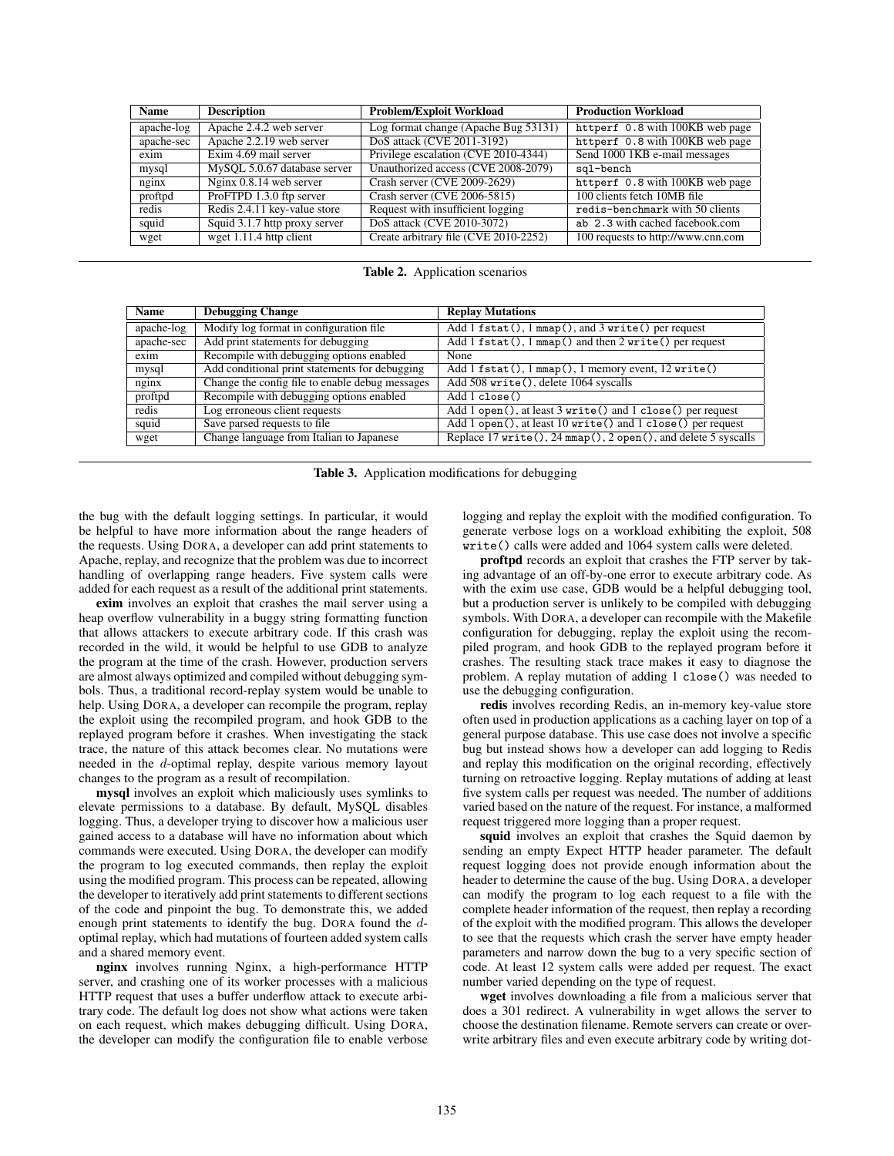| <b>Name</b> | <b>Description</b>            | <b>Problem/Exploit Workload</b>       | <b>Production Workload</b>         |
|-------------|-------------------------------|---------------------------------------|------------------------------------|
| apache-log  | Apache 2.4.2 web server       | Log format change (Apache Bug 53131)  | httperf 0.8 with 100KB web page    |
| apache-sec  | Apache 2.2.19 web server      | DoS attack (CVE 2011-3192)            | httperf 0.8 with 100KB web page    |
| exim        | Exim 4.69 mail server         | Privilege escalation (CVE 2010-4344)  | Send 1000 1KB e-mail messages      |
| mysql       | MySQL 5.0.67 database server  | Unauthorized access (CVE 2008-2079)   | sql-bench                          |
| nginx       | Nginx 0.8.14 web server       | Crash server (CVE 2009-2629)          | httperf 0.8 with 100KB web page    |
| proftpd     | ProFTPD 1.3.0 ftp server      | Crash server (CVE 2006-5815)          | 100 clients fetch 10MB file        |
| redis       | Redis 2.4.11 key-value store  | Request with insufficient logging     | redis-benchmark with 50 clients    |
| squid       | Squid 3.1.7 http proxy server | DoS attack (CVE 2010-3072)            | ab 2.3 with cached facebook.com    |
| wget        | wget 1.11.4 http client       | Create arbitrary file (CVE 2010-2252) | 100 requests to http://www.cnn.com |

Table 2. Application scenarios

| Add 1 $fstat()$ , 1 mmap(), and 3 write() per request<br>Add 1 $f$ stat $($ ), 1 mmap $()$ and then 2 write $()$ per request |
|------------------------------------------------------------------------------------------------------------------------------|
|                                                                                                                              |
|                                                                                                                              |
|                                                                                                                              |
| Add 1 fstat $($ ), 1 mmap $($ ), 1 memory event, 12 write $($ )                                                              |
|                                                                                                                              |
|                                                                                                                              |
| Add 1 open (), at least 3 write () and 1 close () per request                                                                |
| Add 1 open(), at least 10 write() and 1 close() per request                                                                  |
| Replace 17 $write(), 24 mmap(), 2 open(), and delete 5 syscalls$                                                             |
|                                                                                                                              |

Table 3. Application modifications for debugging

the bug with the default logging settings. In particular, it would be helpful to have more information about the range headers of the requests. Using DORA, a developer can add print statements to Apache, replay, and recognize that the problem was due to incorrect handling of overlapping range headers. Five system calls were added for each request as a result of the additional print statements.

exim involves an exploit that crashes the mail server using a heap overflow vulnerability in a buggy string formatting function that allows attackers to execute arbitrary code. If this crash was recorded in the wild, it would be helpful to use GDB to analyze the program at the time of the crash. However, production servers are almost always optimized and compiled without debugging symbols. Thus, a traditional record-replay system would be unable to help. Using DORA, a developer can recompile the program, replay the exploit using the recompiled program, and hook GDB to the replayed program before it crashes. When investigating the stack trace, the nature of this attack becomes clear. No mutations were needed in the d-optimal replay, despite various memory layout changes to the program as a result of recompilation.

mysql involves an exploit which maliciously uses symlinks to elevate permissions to a database. By default, MySQL disables logging. Thus, a developer trying to discover how a malicious user gained access to a database will have no information about which commands were executed. Using DORA, the developer can modify the program to log executed commands, then replay the exploit using the modified program. This process can be repeated, allowing the developer to iteratively add print statements to different sections of the code and pinpoint the bug. To demonstrate this, we added enough print statements to identify the bug. DORA found the doptimal replay, which had mutations of fourteen added system calls and a shared memory event.

nginx involves running Nginx, a high-performance HTTP server, and crashing one of its worker processes with a malicious HTTP request that uses a buffer underflow attack to execute arbitrary code. The default log does not show what actions were taken on each request, which makes debugging difficult. Using DORA, the developer can modify the configuration file to enable verbose

logging and replay the exploit with the modified configuration. To generate verbose logs on a workload exhibiting the exploit, 508 write() calls were added and 1064 system calls were deleted.

proftpd records an exploit that crashes the FTP server by taking advantage of an off-by-one error to execute arbitrary code. As with the exim use case, GDB would be a helpful debugging tool, but a production server is unlikely to be compiled with debugging symbols. With DORA, a developer can recompile with the Makefile configuration for debugging, replay the exploit using the recompiled program, and hook GDB to the replayed program before it crashes. The resulting stack trace makes it easy to diagnose the problem. A replay mutation of adding 1 close() was needed to use the debugging configuration.

redis involves recording Redis, an in-memory key-value store often used in production applications as a caching layer on top of a general purpose database. This use case does not involve a specific bug but instead shows how a developer can add logging to Redis and replay this modification on the original recording, effectively turning on retroactive logging. Replay mutations of adding at least five system calls per request was needed. The number of additions varied based on the nature of the request. For instance, a malformed request triggered more logging than a proper request.

squid involves an exploit that crashes the Squid daemon by sending an empty Expect HTTP header parameter. The default request logging does not provide enough information about the header to determine the cause of the bug. Using DORA, a developer can modify the program to log each request to a file with the complete header information of the request, then replay a recording of the exploit with the modified program. This allows the developer to see that the requests which crash the server have empty header parameters and narrow down the bug to a very specific section of code. At least 12 system calls were added per request. The exact number varied depending on the type of request.

wget involves downloading a file from a malicious server that does a 301 redirect. A vulnerability in wget allows the server to choose the destination filename. Remote servers can create or overwrite arbitrary files and even execute arbitrary code by writing dot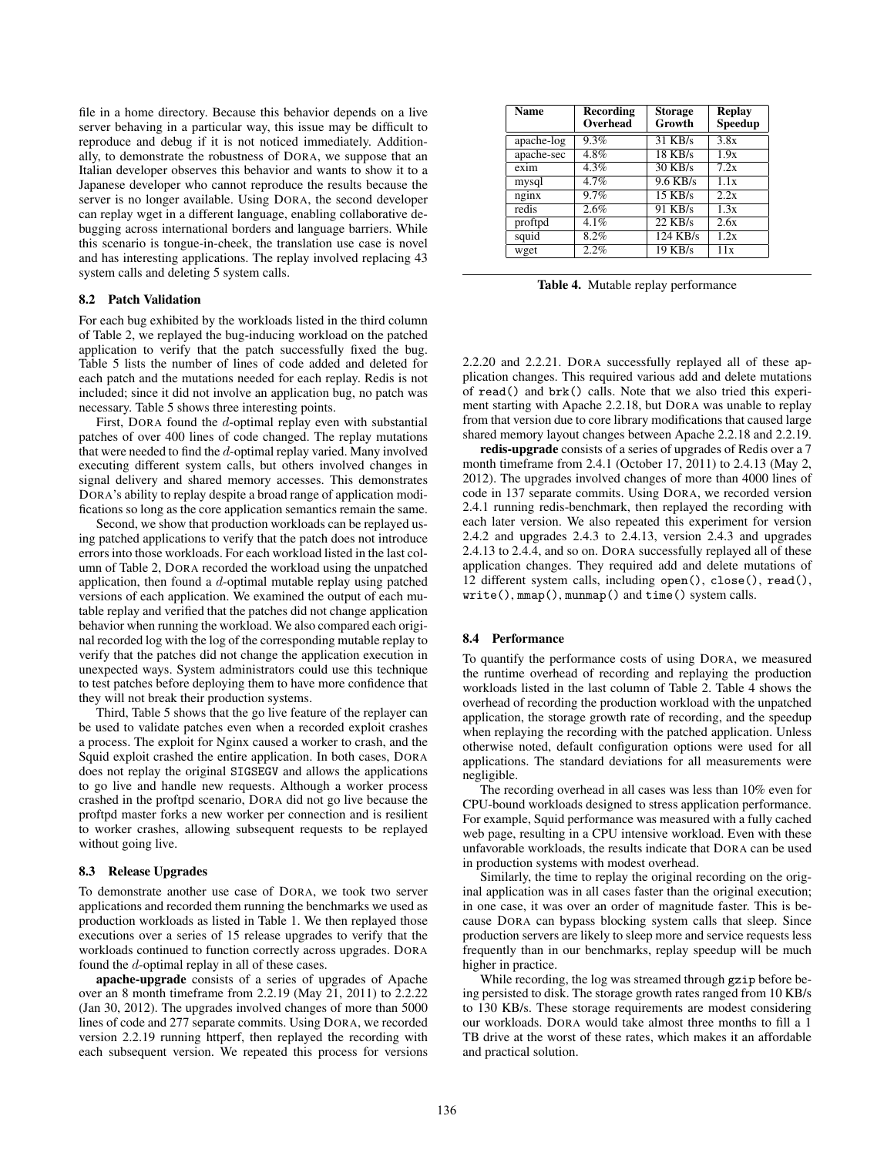file in a home directory. Because this behavior depends on a live server behaving in a particular way, this issue may be difficult to reproduce and debug if it is not noticed immediately. Additionally, to demonstrate the robustness of DORA, we suppose that an Italian developer observes this behavior and wants to show it to a Japanese developer who cannot reproduce the results because the server is no longer available. Using DORA, the second developer can replay wget in a different language, enabling collaborative debugging across international borders and language barriers. While this scenario is tongue-in-cheek, the translation use case is novel and has interesting applications. The replay involved replacing 43 system calls and deleting 5 system calls.

#### 8.2 Patch Validation

For each bug exhibited by the workloads listed in the third column of Table 2, we replayed the bug-inducing workload on the patched application to verify that the patch successfully fixed the bug. Table 5 lists the number of lines of code added and deleted for each patch and the mutations needed for each replay. Redis is not included; since it did not involve an application bug, no patch was necessary. Table 5 shows three interesting points.

First, DORA found the d-optimal replay even with substantial patches of over 400 lines of code changed. The replay mutations that were needed to find the d-optimal replay varied. Many involved executing different system calls, but others involved changes in signal delivery and shared memory accesses. This demonstrates DORA's ability to replay despite a broad range of application modifications so long as the core application semantics remain the same.

Second, we show that production workloads can be replayed using patched applications to verify that the patch does not introduce errors into those workloads. For each workload listed in the last column of Table 2, DORA recorded the workload using the unpatched application, then found a d-optimal mutable replay using patched versions of each application. We examined the output of each mutable replay and verified that the patches did not change application behavior when running the workload. We also compared each original recorded log with the log of the corresponding mutable replay to verify that the patches did not change the application execution in unexpected ways. System administrators could use this technique to test patches before deploying them to have more confidence that they will not break their production systems.

Third, Table 5 shows that the go live feature of the replayer can be used to validate patches even when a recorded exploit crashes a process. The exploit for Nginx caused a worker to crash, and the Squid exploit crashed the entire application. In both cases, DORA does not replay the original SIGSEGV and allows the applications to go live and handle new requests. Although a worker process crashed in the proftpd scenario, DORA did not go live because the proftpd master forks a new worker per connection and is resilient to worker crashes, allowing subsequent requests to be replayed without going live.

#### 8.3 Release Upgrades

To demonstrate another use case of DORA, we took two server applications and recorded them running the benchmarks we used as production workloads as listed in Table 1. We then replayed those executions over a series of 15 release upgrades to verify that the workloads continued to function correctly across upgrades. DORA found the d-optimal replay in all of these cases.

apache-upgrade consists of a series of upgrades of Apache over an 8 month timeframe from 2.2.19 (May 21, 2011) to 2.2.22 (Jan 30, 2012). The upgrades involved changes of more than 5000 lines of code and 277 separate commits. Using DORA, we recorded version 2.2.19 running httperf, then replayed the recording with each subsequent version. We repeated this process for versions

| <b>Name</b> | Recording | <b>Storage</b> | <b>Replay</b> |
|-------------|-----------|----------------|---------------|
|             | Overhead  | Growth         | Speedup       |
| apache-log  | 9.3%      | 31 KB/s        | 3.8x          |
| apache-sec  | 4.8%      | 18 KB/s        | 1.9x          |
| exim        | 4.3%      | $30$ KB/s      | 7.2x          |
| mysql       | 4.7%      | $9.6$ KB/s     | 1.1x          |
| nginx       | 9.7%      | $15$ KB/s      | 2.2x          |
| redis       | 2.6%      | 91 KB/s        | 1.3x          |
| proftpd     | 4.1%      | $22$ KB/s      | 2.6x          |
| squid       | 8.2%      | $124$ KB/s     | 1.2x          |
| wget        | 2.2%      | 19 KB/s        | 11x           |

Table 4. Mutable replay performance

2.2.20 and 2.2.21. DORA successfully replayed all of these application changes. This required various add and delete mutations of read() and brk() calls. Note that we also tried this experiment starting with Apache 2.2.18, but DORA was unable to replay from that version due to core library modifications that caused large shared memory layout changes between Apache 2.2.18 and 2.2.19.

redis-upgrade consists of a series of upgrades of Redis over a 7 month timeframe from 2.4.1 (October 17, 2011) to 2.4.13 (May 2, 2012). The upgrades involved changes of more than 4000 lines of code in 137 separate commits. Using DORA, we recorded version 2.4.1 running redis-benchmark, then replayed the recording with each later version. We also repeated this experiment for version 2.4.2 and upgrades 2.4.3 to 2.4.13, version 2.4.3 and upgrades 2.4.13 to 2.4.4, and so on. DORA successfully replayed all of these application changes. They required add and delete mutations of 12 different system calls, including open(), close(), read(), write(), mmap(), munmap() and time() system calls.

#### 8.4 Performance

To quantify the performance costs of using DORA, we measured the runtime overhead of recording and replaying the production workloads listed in the last column of Table 2. Table 4 shows the overhead of recording the production workload with the unpatched application, the storage growth rate of recording, and the speedup when replaying the recording with the patched application. Unless otherwise noted, default configuration options were used for all applications. The standard deviations for all measurements were negligible.

The recording overhead in all cases was less than 10% even for CPU-bound workloads designed to stress application performance. For example, Squid performance was measured with a fully cached web page, resulting in a CPU intensive workload. Even with these unfavorable workloads, the results indicate that DORA can be used in production systems with modest overhead.

Similarly, the time to replay the original recording on the original application was in all cases faster than the original execution; in one case, it was over an order of magnitude faster. This is because DORA can bypass blocking system calls that sleep. Since production servers are likely to sleep more and service requests less frequently than in our benchmarks, replay speedup will be much higher in practice.

While recording, the log was streamed through gzip before being persisted to disk. The storage growth rates ranged from 10 KB/s to 130 KB/s. These storage requirements are modest considering our workloads. DORA would take almost three months to fill a 1 TB drive at the worst of these rates, which makes it an affordable and practical solution.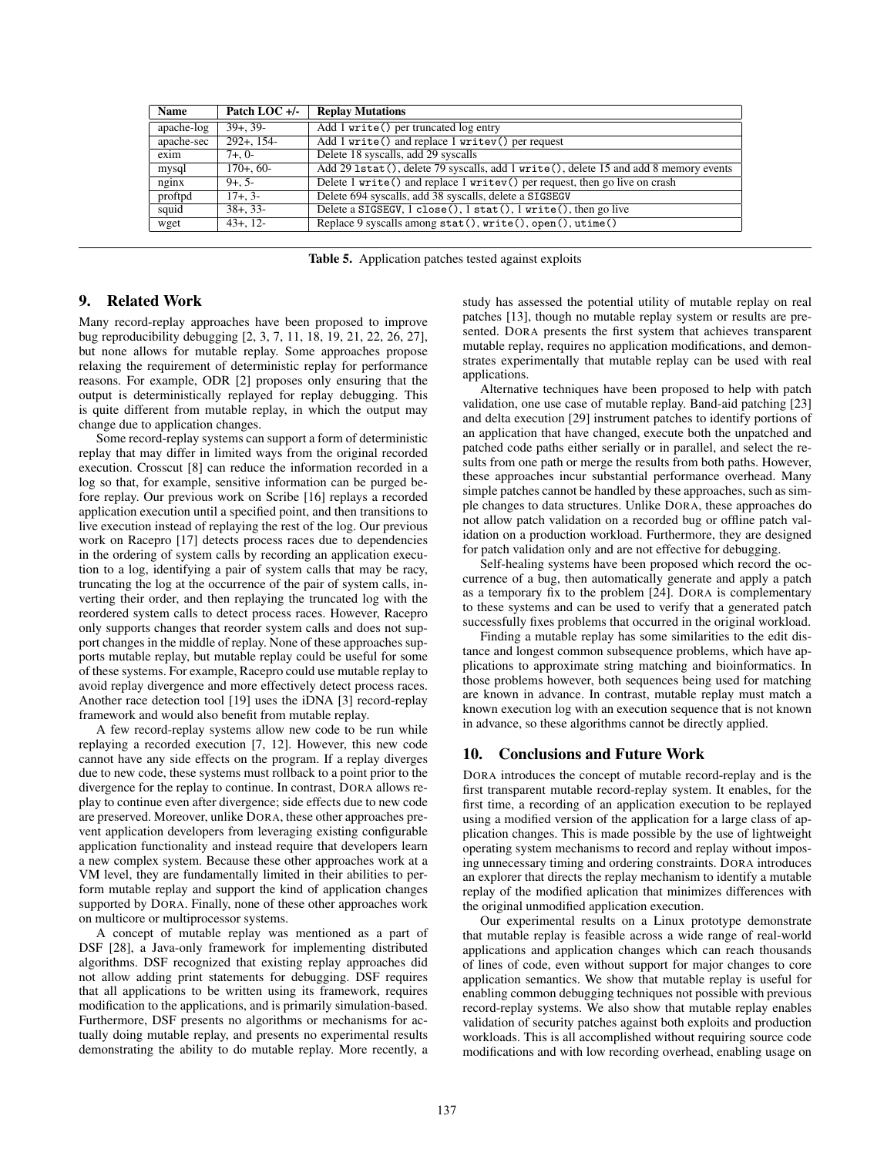| <b>Name</b> | Patch LOC $+/-$ | <b>Replay Mutations</b>                                                              |
|-------------|-----------------|--------------------------------------------------------------------------------------|
| apache-log  | $39 + 39$       | Add 1 write () per truncated log entry                                               |
| apache-sec  | $292 + 154$     | Add 1 write () and replace 1 writev () per request                                   |
| exim        | $7+.0-$         | Delete 18 syscalls, add 29 syscalls                                                  |
| mysql       | $170 + 60$      | Add 29 1stat(), delete 79 syscalls, add 1 write(), delete 15 and add 8 memory events |
| nginx       | $9+0.5-$        | Delete 1 write () and replace 1 writev () per request, then go live on crash         |
| proftpd     | $17 + 3$        | Delete 694 syscalls, add 38 syscalls, delete a SIGSEGV                               |
| squid       | $38 + 33$       | Delete a SIGSEGV, 1 close(), 1 stat(), 1 write(), then go live                       |
| wget        | $43 + 12$       | Replace 9 syscalls among stat(), write(), open(), utime()                            |

Table 5. Application patches tested against exploits

## 9. Related Work

Many record-replay approaches have been proposed to improve bug reproducibility debugging [2, 3, 7, 11, 18, 19, 21, 22, 26, 27], but none allows for mutable replay. Some approaches propose relaxing the requirement of deterministic replay for performance reasons. For example, ODR [2] proposes only ensuring that the output is deterministically replayed for replay debugging. This is quite different from mutable replay, in which the output may change due to application changes.

Some record-replay systems can support a form of deterministic replay that may differ in limited ways from the original recorded execution. Crosscut [8] can reduce the information recorded in a log so that, for example, sensitive information can be purged before replay. Our previous work on Scribe [16] replays a recorded application execution until a specified point, and then transitions to live execution instead of replaying the rest of the log. Our previous work on Racepro [17] detects process races due to dependencies in the ordering of system calls by recording an application execution to a log, identifying a pair of system calls that may be racy, truncating the log at the occurrence of the pair of system calls, inverting their order, and then replaying the truncated log with the reordered system calls to detect process races. However, Racepro only supports changes that reorder system calls and does not support changes in the middle of replay. None of these approaches supports mutable replay, but mutable replay could be useful for some of these systems. For example, Racepro could use mutable replay to avoid replay divergence and more effectively detect process races. Another race detection tool [19] uses the iDNA [3] record-replay framework and would also benefit from mutable replay.

A few record-replay systems allow new code to be run while replaying a recorded execution [7, 12]. However, this new code cannot have any side effects on the program. If a replay diverges due to new code, these systems must rollback to a point prior to the divergence for the replay to continue. In contrast, DORA allows replay to continue even after divergence; side effects due to new code are preserved. Moreover, unlike DORA, these other approaches prevent application developers from leveraging existing configurable application functionality and instead require that developers learn a new complex system. Because these other approaches work at a VM level, they are fundamentally limited in their abilities to perform mutable replay and support the kind of application changes supported by DORA. Finally, none of these other approaches work on multicore or multiprocessor systems.

A concept of mutable replay was mentioned as a part of DSF [28], a Java-only framework for implementing distributed algorithms. DSF recognized that existing replay approaches did not allow adding print statements for debugging. DSF requires that all applications to be written using its framework, requires modification to the applications, and is primarily simulation-based. Furthermore, DSF presents no algorithms or mechanisms for actually doing mutable replay, and presents no experimental results demonstrating the ability to do mutable replay. More recently, a study has assessed the potential utility of mutable replay on real patches [13], though no mutable replay system or results are presented. DORA presents the first system that achieves transparent mutable replay, requires no application modifications, and demonstrates experimentally that mutable replay can be used with real applications.

Alternative techniques have been proposed to help with patch validation, one use case of mutable replay. Band-aid patching [23] and delta execution [29] instrument patches to identify portions of an application that have changed, execute both the unpatched and patched code paths either serially or in parallel, and select the results from one path or merge the results from both paths. However, these approaches incur substantial performance overhead. Many simple patches cannot be handled by these approaches, such as simple changes to data structures. Unlike DORA, these approaches do not allow patch validation on a recorded bug or offline patch validation on a production workload. Furthermore, they are designed for patch validation only and are not effective for debugging.

Self-healing systems have been proposed which record the occurrence of a bug, then automatically generate and apply a patch as a temporary fix to the problem [24]. DORA is complementary to these systems and can be used to verify that a generated patch successfully fixes problems that occurred in the original workload.

Finding a mutable replay has some similarities to the edit distance and longest common subsequence problems, which have applications to approximate string matching and bioinformatics. In those problems however, both sequences being used for matching are known in advance. In contrast, mutable replay must match a known execution log with an execution sequence that is not known in advance, so these algorithms cannot be directly applied.

## 10. Conclusions and Future Work

DORA introduces the concept of mutable record-replay and is the first transparent mutable record-replay system. It enables, for the first time, a recording of an application execution to be replayed using a modified version of the application for a large class of application changes. This is made possible by the use of lightweight operating system mechanisms to record and replay without imposing unnecessary timing and ordering constraints. DORA introduces an explorer that directs the replay mechanism to identify a mutable replay of the modified aplication that minimizes differences with the original unmodified application execution.

Our experimental results on a Linux prototype demonstrate that mutable replay is feasible across a wide range of real-world applications and application changes which can reach thousands of lines of code, even without support for major changes to core application semantics. We show that mutable replay is useful for enabling common debugging techniques not possible with previous record-replay systems. We also show that mutable replay enables validation of security patches against both exploits and production workloads. This is all accomplished without requiring source code modifications and with low recording overhead, enabling usage on